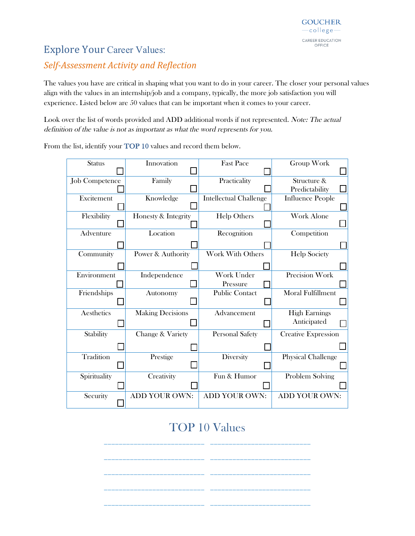#### **Explore Your Career Values:**

#### *Self-Assessment Activity and Reflection*

The values you have are critical in shaping what you want to do in your career. The closer your personal values align with the values in an internship/job and a company, typically, the more job satisfaction you will experience. Listed below are 50 values that can be important when it comes to your career.

Look over the list of words provided and ADD additional words if not represented. Note: The actual definition of the value is not as important as what the word represents for you.

| <b>Status</b>         | Innovation              | <b>Fast Pace</b>              | Group Work                 |
|-----------------------|-------------------------|-------------------------------|----------------------------|
|                       |                         |                               |                            |
| <b>Job Competence</b> | Family                  | Practicality                  | Structure &                |
|                       |                         |                               | Predictability             |
| Excitement            | Knowledge               | <b>Intellectual Challenge</b> | <b>Influence People</b>    |
|                       |                         |                               |                            |
| Flexibility           | Honesty & Integrity     | <b>Help Others</b>            | Work Alone                 |
|                       |                         |                               |                            |
| Adventure             | Location                | Recognition                   | Competition                |
|                       |                         |                               |                            |
| Community             | Power & Authority       | <b>Work With Others</b>       | <b>Help Society</b>        |
|                       |                         |                               |                            |
| Environment           | Independence            | Work Under                    | <b>Precision Work</b>      |
|                       |                         | Pressure                      |                            |
| Friendships           | Autonomy                | <b>Public Contact</b>         | <b>Moral Fulfillment</b>   |
|                       |                         |                               |                            |
| Aesthetics            | <b>Making Decisions</b> | Advancement                   | <b>High Earnings</b>       |
|                       |                         |                               | Anticipated                |
| Stability             | Change & Variety        | <b>Personal Safety</b>        | <b>Creative Expression</b> |
|                       |                         |                               |                            |
| Tradition             | Prestige                | Diversity                     | <b>Physical Challenge</b>  |
|                       |                         |                               |                            |
| Spirituality          | Creativity              | Fun & Humor                   | Problem Solving            |
|                       |                         |                               |                            |
| Security              | ADD YOUR OWN:           | <b>ADD YOUR OWN:</b>          | <b>ADD YOUR OWN:</b>       |

From the list, identify your TOP 10 values and record them below.

## TOP 10 Values

\_\_\_\_\_\_\_\_\_\_\_\_\_\_\_\_\_\_\_\_\_\_\_\_\_\_\_ \_\_\_\_\_\_\_\_\_\_\_\_\_\_\_\_\_\_\_\_\_\_\_\_\_\_\_

\_\_\_\_\_\_\_\_\_\_\_\_\_\_\_\_\_\_\_\_\_\_\_\_\_\_\_ \_\_\_\_\_\_\_\_\_\_\_\_\_\_\_\_\_\_\_\_\_\_\_\_\_\_\_

\_\_\_\_\_\_\_\_\_\_\_\_\_\_\_\_\_\_\_\_\_\_\_\_\_\_\_ \_\_\_\_\_\_\_\_\_\_\_\_\_\_\_\_\_\_\_\_\_\_\_\_\_\_\_

\_\_\_\_\_\_\_\_\_\_\_\_\_\_\_\_\_\_\_\_\_\_\_\_\_\_\_ \_\_\_\_\_\_\_\_\_\_\_\_\_\_\_\_\_\_\_\_\_\_\_\_\_\_\_

\_\_\_\_\_\_\_\_\_\_\_\_\_\_\_\_\_\_\_\_\_\_\_\_\_\_\_ \_\_\_\_\_\_\_\_\_\_\_\_\_\_\_\_\_\_\_\_\_\_\_\_\_\_\_